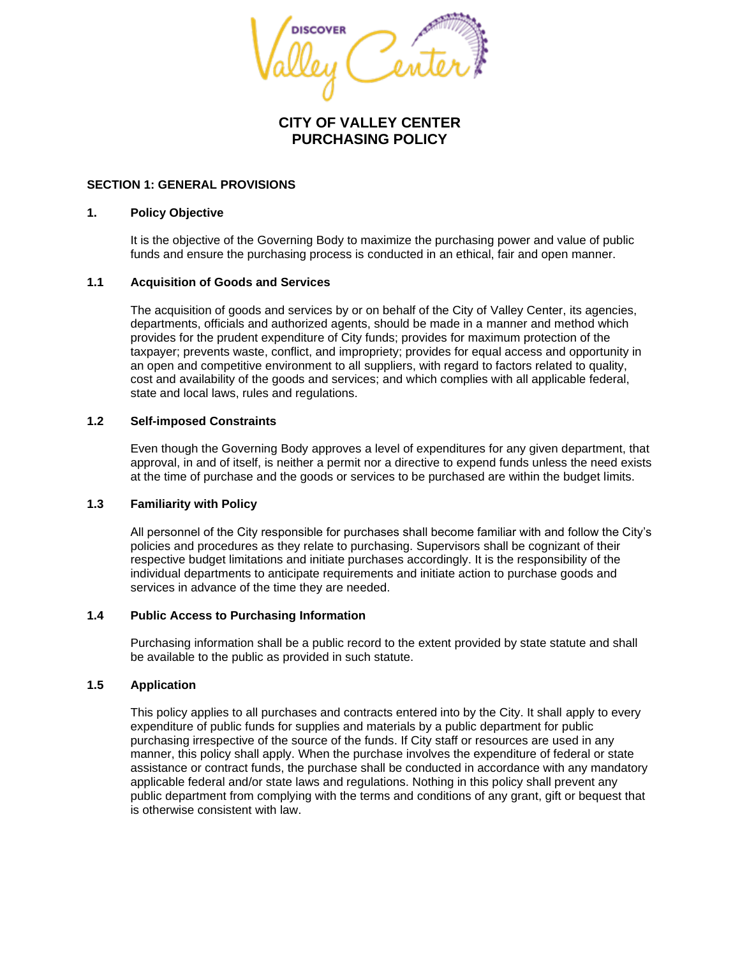

# **CITY OF VALLEY CENTER PURCHASING POLICY**

## **SECTION 1: GENERAL PROVISIONS**

## **1. Policy Objective**

It is the objective of the Governing Body to maximize the purchasing power and value of public funds and ensure the purchasing process is conducted in an ethical, fair and open manner.

## **1.1 Acquisition of Goods and Services**

The acquisition of goods and services by or on behalf of the City of Valley Center, its agencies, departments, officials and authorized agents, should be made in a manner and method which provides for the prudent expenditure of City funds; provides for maximum protection of the taxpayer; prevents waste, conflict, and impropriety; provides for equal access and opportunity in an open and competitive environment to all suppliers, with regard to factors related to quality, cost and availability of the goods and services; and which complies with all applicable federal, state and local laws, rules and regulations.

## **1.2 Self-imposed Constraints**

Even though the Governing Body approves a level of expenditures for any given department, that approval, in and of itself, is neither a permit nor a directive to expend funds unless the need exists at the time of purchase and the goods or services to be purchased are within the budget limits.

# **1.3 Familiarity with Policy**

All personnel of the City responsible for purchases shall become familiar with and follow the City's policies and procedures as they relate to purchasing. Supervisors shall be cognizant of their respective budget limitations and initiate purchases accordingly. It is the responsibility of the individual departments to anticipate requirements and initiate action to purchase goods and services in advance of the time they are needed.

## **1.4 Public Access to Purchasing Information**

Purchasing information shall be a public record to the extent provided by state statute and shall be available to the public as provided in such statute.

## **1.5 Application**

This policy applies to all purchases and contracts entered into by the City. It shall apply to every expenditure of public funds for supplies and materials by a public department for public purchasing irrespective of the source of the funds. If City staff or resources are used in any manner, this policy shall apply. When the purchase involves the expenditure of federal or state assistance or contract funds, the purchase shall be conducted in accordance with any mandatory applicable federal and/or state laws and regulations. Nothing in this policy shall prevent any public department from complying with the terms and conditions of any grant, gift or bequest that is otherwise consistent with law.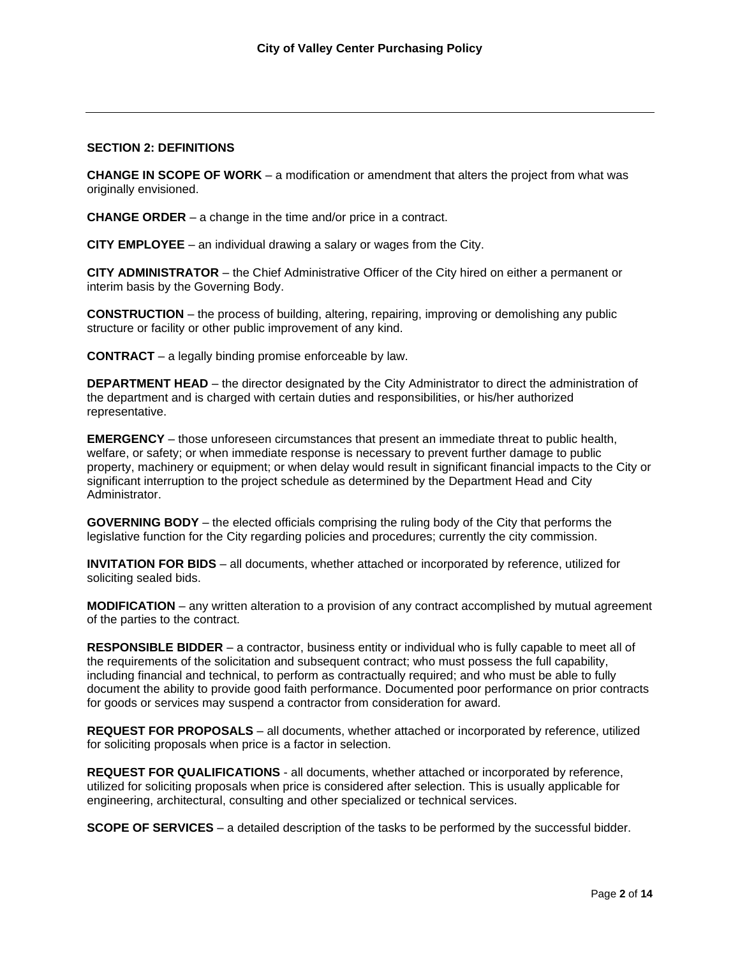## **SECTION 2: DEFINITIONS**

**CHANGE IN SCOPE OF WORK** – a modification or amendment that alters the project from what was originally envisioned.

**CHANGE ORDER** – a change in the time and/or price in a contract.

**CITY EMPLOYEE** – an individual drawing a salary or wages from the City.

**CITY ADMINISTRATOR** – the Chief Administrative Officer of the City hired on either a permanent or interim basis by the Governing Body.

**CONSTRUCTION** – the process of building, altering, repairing, improving or demolishing any public structure or facility or other public improvement of any kind.

**CONTRACT** – a legally binding promise enforceable by law.

**DEPARTMENT HEAD** – the director designated by the City Administrator to direct the administration of the department and is charged with certain duties and responsibilities, or his/her authorized representative.

**EMERGENCY** – those unforeseen circumstances that present an immediate threat to public health, welfare, or safety; or when immediate response is necessary to prevent further damage to public property, machinery or equipment; or when delay would result in significant financial impacts to the City or significant interruption to the project schedule as determined by the Department Head and City Administrator.

**GOVERNING BODY** – the elected officials comprising the ruling body of the City that performs the legislative function for the City regarding policies and procedures; currently the city commission.

**INVITATION FOR BIDS** – all documents, whether attached or incorporated by reference, utilized for soliciting sealed bids.

**MODIFICATION** – any written alteration to a provision of any contract accomplished by mutual agreement of the parties to the contract.

**RESPONSIBLE BIDDER** – a contractor, business entity or individual who is fully capable to meet all of the requirements of the solicitation and subsequent contract; who must possess the full capability, including financial and technical, to perform as contractually required; and who must be able to fully document the ability to provide good faith performance. Documented poor performance on prior contracts for goods or services may suspend a contractor from consideration for award.

**REQUEST FOR PROPOSALS** – all documents, whether attached or incorporated by reference, utilized for soliciting proposals when price is a factor in selection.

**REQUEST FOR QUALIFICATIONS** - all documents, whether attached or incorporated by reference, utilized for soliciting proposals when price is considered after selection. This is usually applicable for engineering, architectural, consulting and other specialized or technical services.

**SCOPE OF SERVICES** – a detailed description of the tasks to be performed by the successful bidder.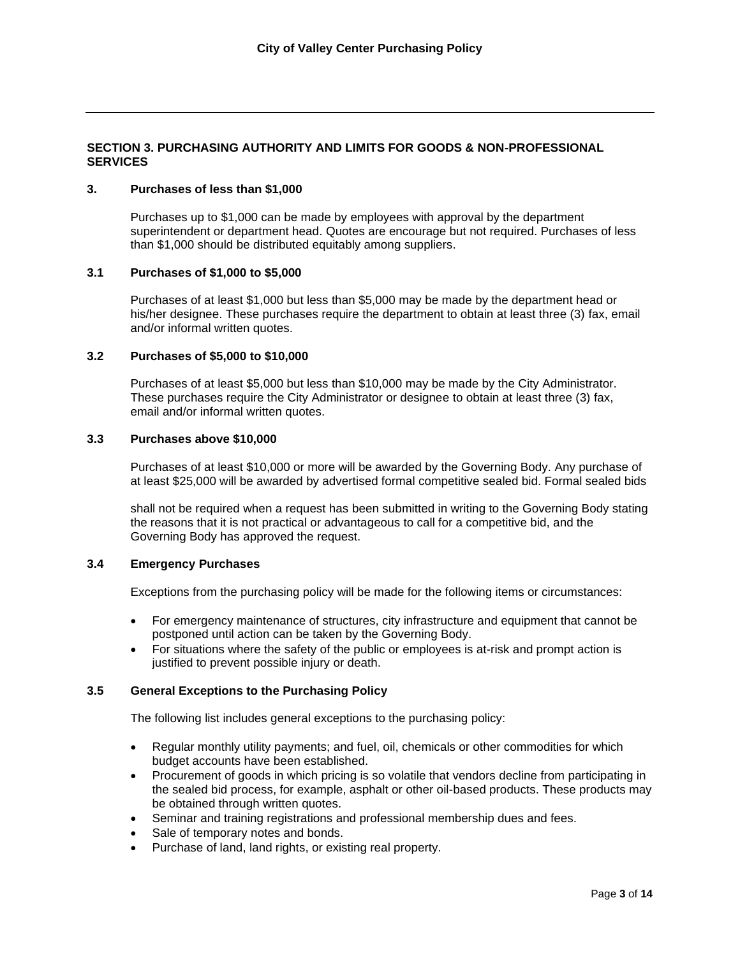# **SECTION 3. PURCHASING AUTHORITY AND LIMITS FOR GOODS & NON-PROFESSIONAL SERVICES**

### **3. Purchases of less than \$1,000**

Purchases up to \$1,000 can be made by employees with approval by the department superintendent or department head. Quotes are encourage but not required. Purchases of less than \$1,000 should be distributed equitably among suppliers.

## **3.1 Purchases of \$1,000 to \$5,000**

Purchases of at least \$1,000 but less than \$5,000 may be made by the department head or his/her designee. These purchases require the department to obtain at least three (3) fax, email and/or informal written quotes.

## **3.2 Purchases of \$5,000 to \$10,000**

Purchases of at least \$5,000 but less than \$10,000 may be made by the City Administrator. These purchases require the City Administrator or designee to obtain at least three (3) fax, email and/or informal written quotes.

## **3.3 Purchases above \$10,000**

Purchases of at least \$10,000 or more will be awarded by the Governing Body. Any purchase of at least \$25,000 will be awarded by advertised formal competitive sealed bid. Formal sealed bids

shall not be required when a request has been submitted in writing to the Governing Body stating the reasons that it is not practical or advantageous to call for a competitive bid, and the Governing Body has approved the request.

## **3.4 Emergency Purchases**

Exceptions from the purchasing policy will be made for the following items or circumstances:

- For emergency maintenance of structures, city infrastructure and equipment that cannot be postponed until action can be taken by the Governing Body.
- For situations where the safety of the public or employees is at-risk and prompt action is justified to prevent possible injury or death.

## **3.5 General Exceptions to the Purchasing Policy**

The following list includes general exceptions to the purchasing policy:

- Regular monthly utility payments; and fuel, oil, chemicals or other commodities for which budget accounts have been established.
- Procurement of goods in which pricing is so volatile that vendors decline from participating in the sealed bid process, for example, asphalt or other oil-based products. These products may be obtained through written quotes.
- Seminar and training registrations and professional membership dues and fees.
- Sale of temporary notes and bonds.
- Purchase of land, land rights, or existing real property.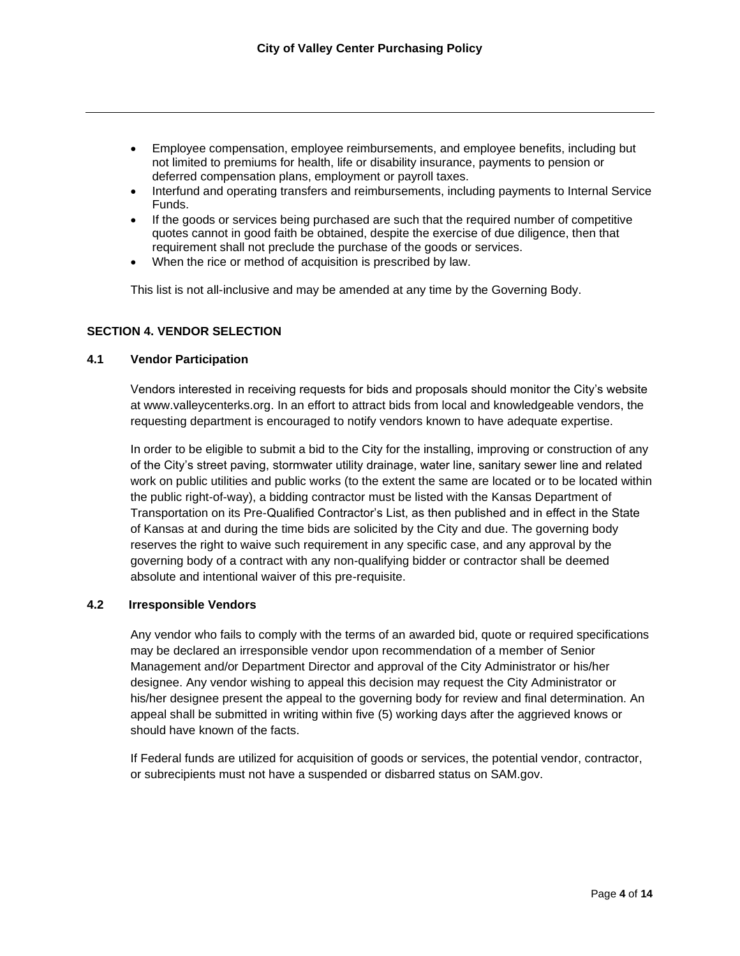- Employee compensation, employee reimbursements, and employee benefits, including but not limited to premiums for health, life or disability insurance, payments to pension or deferred compensation plans, employment or payroll taxes.
- Interfund and operating transfers and reimbursements, including payments to Internal Service Funds.
- If the goods or services being purchased are such that the required number of competitive quotes cannot in good faith be obtained, despite the exercise of due diligence, then that requirement shall not preclude the purchase of the goods or services.
- When the rice or method of acquisition is prescribed by law.

This list is not all-inclusive and may be amended at any time by the Governing Body.

# **SECTION 4. VENDOR SELECTION**

## **4.1 Vendor Participation**

Vendors interested in receiving requests for bids and proposals should monitor the City's website at www.valleycenterks.org. In an effort to attract bids from local and knowledgeable vendors, the requesting department is encouraged to notify vendors known to have adequate expertise.

In order to be eligible to submit a bid to the City for the installing, improving or construction of any of the City's street paving, stormwater utility drainage, water line, sanitary sewer line and related work on public utilities and public works (to the extent the same are located or to be located within the public right-of-way), a bidding contractor must be listed with the Kansas Department of Transportation on its Pre-Qualified Contractor's List, as then published and in effect in the State of Kansas at and during the time bids are solicited by the City and due. The governing body reserves the right to waive such requirement in any specific case, and any approval by the governing body of a contract with any non-qualifying bidder or contractor shall be deemed absolute and intentional waiver of this pre-requisite.

# **4.2 Irresponsible Vendors**

Any vendor who fails to comply with the terms of an awarded bid, quote or required specifications may be declared an irresponsible vendor upon recommendation of a member of Senior Management and/or Department Director and approval of the City Administrator or his/her designee. Any vendor wishing to appeal this decision may request the City Administrator or his/her designee present the appeal to the governing body for review and final determination. An appeal shall be submitted in writing within five (5) working days after the aggrieved knows or should have known of the facts.

If Federal funds are utilized for acquisition of goods or services, the potential vendor, contractor, or subrecipients must not have a suspended or disbarred status on SAM.gov.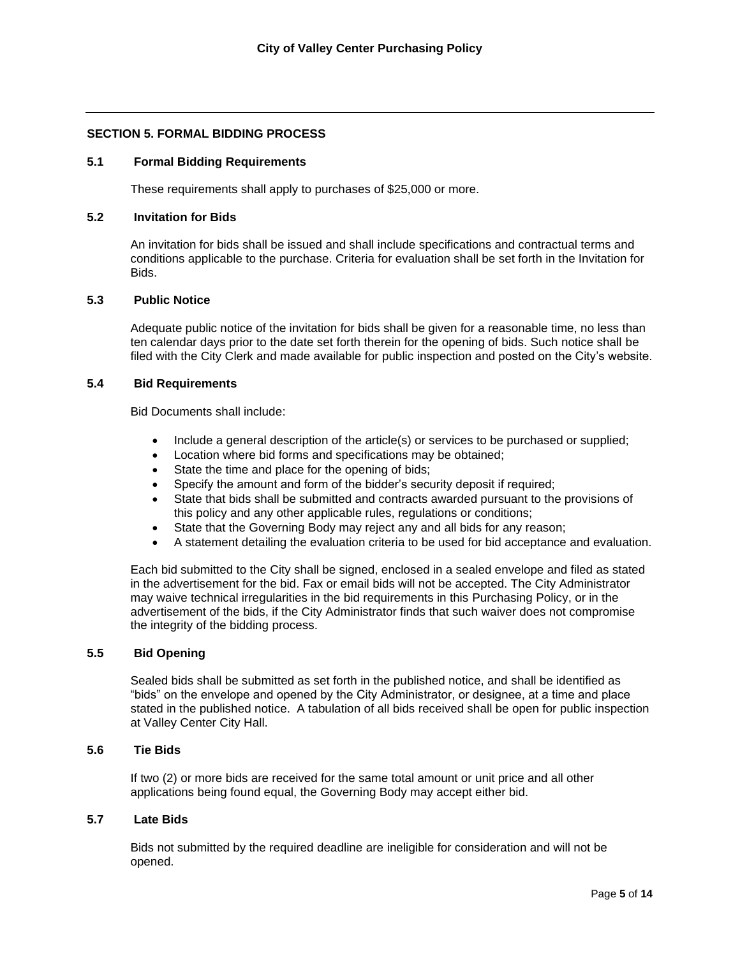# **SECTION 5. FORMAL BIDDING PROCESS**

#### **5.1 Formal Bidding Requirements**

These requirements shall apply to purchases of \$25,000 or more.

#### **5.2 Invitation for Bids**

An invitation for bids shall be issued and shall include specifications and contractual terms and conditions applicable to the purchase. Criteria for evaluation shall be set forth in the Invitation for Bids.

### **5.3 Public Notice**

Adequate public notice of the invitation for bids shall be given for a reasonable time, no less than ten calendar days prior to the date set forth therein for the opening of bids. Such notice shall be filed with the City Clerk and made available for public inspection and posted on the City's website.

#### **5.4 Bid Requirements**

Bid Documents shall include:

- Include a general description of the article(s) or services to be purchased or supplied;
- Location where bid forms and specifications may be obtained;
- State the time and place for the opening of bids;
- Specify the amount and form of the bidder's security deposit if required;
- State that bids shall be submitted and contracts awarded pursuant to the provisions of this policy and any other applicable rules, regulations or conditions;
- State that the Governing Body may reject any and all bids for any reason;
- A statement detailing the evaluation criteria to be used for bid acceptance and evaluation.

Each bid submitted to the City shall be signed, enclosed in a sealed envelope and filed as stated in the advertisement for the bid. Fax or email bids will not be accepted. The City Administrator may waive technical irregularities in the bid requirements in this Purchasing Policy, or in the advertisement of the bids, if the City Administrator finds that such waiver does not compromise the integrity of the bidding process.

### **5.5 Bid Opening**

Sealed bids shall be submitted as set forth in the published notice, and shall be identified as "bids" on the envelope and opened by the City Administrator, or designee, at a time and place stated in the published notice. A tabulation of all bids received shall be open for public inspection at Valley Center City Hall.

### **5.6 Tie Bids**

If two (2) or more bids are received for the same total amount or unit price and all other applications being found equal, the Governing Body may accept either bid.

#### **5.7 Late Bids**

Bids not submitted by the required deadline are ineligible for consideration and will not be opened.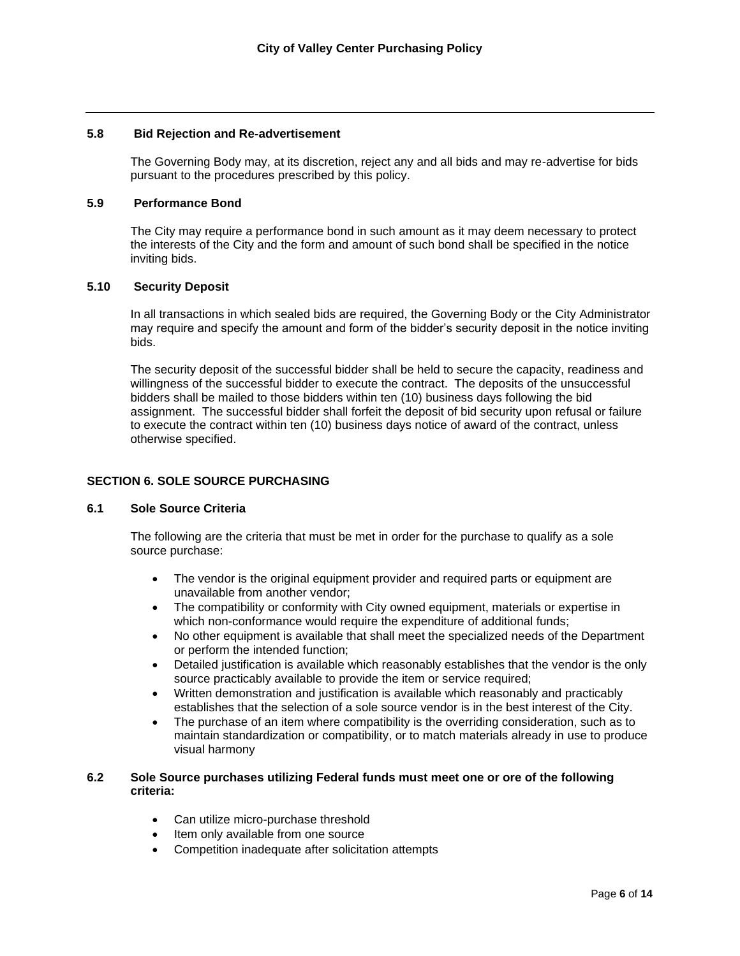### **5.8 Bid Rejection and Re-advertisement**

The Governing Body may, at its discretion, reject any and all bids and may re-advertise for bids pursuant to the procedures prescribed by this policy.

### **5.9 Performance Bond**

The City may require a performance bond in such amount as it may deem necessary to protect the interests of the City and the form and amount of such bond shall be specified in the notice inviting bids.

### **5.10 Security Deposit**

In all transactions in which sealed bids are required, the Governing Body or the City Administrator may require and specify the amount and form of the bidder's security deposit in the notice inviting bids.

The security deposit of the successful bidder shall be held to secure the capacity, readiness and willingness of the successful bidder to execute the contract. The deposits of the unsuccessful bidders shall be mailed to those bidders within ten (10) business days following the bid assignment. The successful bidder shall forfeit the deposit of bid security upon refusal or failure to execute the contract within ten (10) business days notice of award of the contract, unless otherwise specified.

## **SECTION 6. SOLE SOURCE PURCHASING**

## **6.1 Sole Source Criteria**

The following are the criteria that must be met in order for the purchase to qualify as a sole source purchase:

- The vendor is the original equipment provider and required parts or equipment are unavailable from another vendor;
- The compatibility or conformity with City owned equipment, materials or expertise in which non-conformance would require the expenditure of additional funds;
- No other equipment is available that shall meet the specialized needs of the Department or perform the intended function;
- Detailed justification is available which reasonably establishes that the vendor is the only source practicably available to provide the item or service required;
- Written demonstration and justification is available which reasonably and practicably establishes that the selection of a sole source vendor is in the best interest of the City.
- The purchase of an item where compatibility is the overriding consideration, such as to maintain standardization or compatibility, or to match materials already in use to produce visual harmony

## **6.2 Sole Source purchases utilizing Federal funds must meet one or ore of the following criteria:**

- Can utilize micro-purchase threshold
- Item only available from one source
- Competition inadequate after solicitation attempts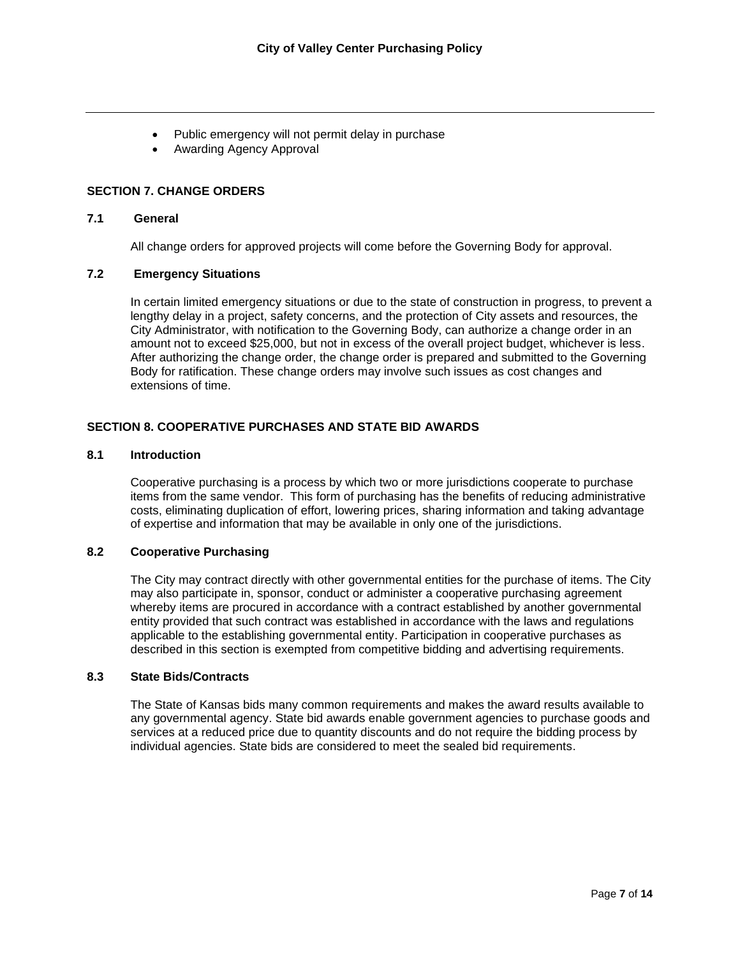- Public emergency will not permit delay in purchase
- Awarding Agency Approval

## **SECTION 7. CHANGE ORDERS**

# **7.1 General**

All change orders for approved projects will come before the Governing Body for approval.

## **7.2 Emergency Situations**

In certain limited emergency situations or due to the state of construction in progress, to prevent a lengthy delay in a project, safety concerns, and the protection of City assets and resources, the City Administrator, with notification to the Governing Body, can authorize a change order in an amount not to exceed \$25,000, but not in excess of the overall project budget, whichever is less. After authorizing the change order, the change order is prepared and submitted to the Governing Body for ratification. These change orders may involve such issues as cost changes and extensions of time.

## **SECTION 8. COOPERATIVE PURCHASES AND STATE BID AWARDS**

### **8.1 Introduction**

Cooperative purchasing is a process by which two or more jurisdictions cooperate to purchase items from the same vendor. This form of purchasing has the benefits of reducing administrative costs, eliminating duplication of effort, lowering prices, sharing information and taking advantage of expertise and information that may be available in only one of the jurisdictions.

## **8.2 Cooperative Purchasing**

The City may contract directly with other governmental entities for the purchase of items. The City may also participate in, sponsor, conduct or administer a cooperative purchasing agreement whereby items are procured in accordance with a contract established by another governmental entity provided that such contract was established in accordance with the laws and regulations applicable to the establishing governmental entity. Participation in cooperative purchases as described in this section is exempted from competitive bidding and advertising requirements.

## **8.3 State Bids/Contracts**

The State of Kansas bids many common requirements and makes the award results available to any governmental agency. State bid awards enable government agencies to purchase goods and services at a reduced price due to quantity discounts and do not require the bidding process by individual agencies. State bids are considered to meet the sealed bid requirements.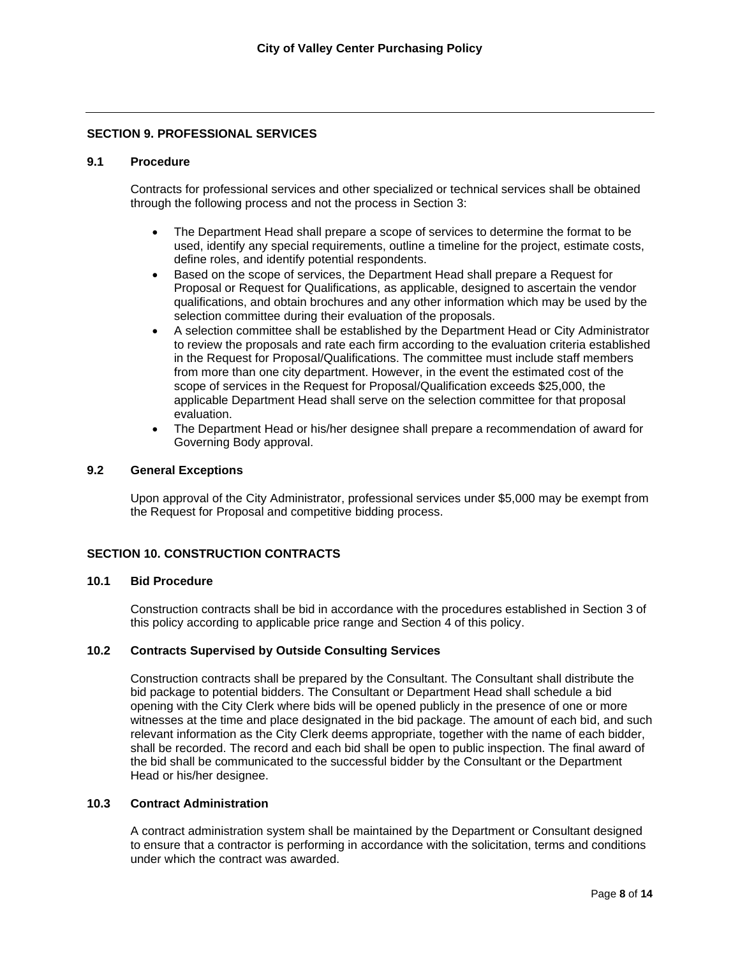### **SECTION 9. PROFESSIONAL SERVICES**

### **9.1 Procedure**

Contracts for professional services and other specialized or technical services shall be obtained through the following process and not the process in Section 3:

- The Department Head shall prepare a scope of services to determine the format to be used, identify any special requirements, outline a timeline for the project, estimate costs, define roles, and identify potential respondents.
- Based on the scope of services, the Department Head shall prepare a Request for Proposal or Request for Qualifications, as applicable, designed to ascertain the vendor qualifications, and obtain brochures and any other information which may be used by the selection committee during their evaluation of the proposals.
- A selection committee shall be established by the Department Head or City Administrator to review the proposals and rate each firm according to the evaluation criteria established in the Request for Proposal/Qualifications. The committee must include staff members from more than one city department. However, in the event the estimated cost of the scope of services in the Request for Proposal/Qualification exceeds \$25,000, the applicable Department Head shall serve on the selection committee for that proposal evaluation.
- The Department Head or his/her designee shall prepare a recommendation of award for Governing Body approval.

### **9.2 General Exceptions**

Upon approval of the City Administrator, professional services under \$5,000 may be exempt from the Request for Proposal and competitive bidding process.

## **SECTION 10. CONSTRUCTION CONTRACTS**

### **10.1 Bid Procedure**

Construction contracts shall be bid in accordance with the procedures established in Section 3 of this policy according to applicable price range and Section 4 of this policy.

### **10.2 Contracts Supervised by Outside Consulting Services**

Construction contracts shall be prepared by the Consultant. The Consultant shall distribute the bid package to potential bidders. The Consultant or Department Head shall schedule a bid opening with the City Clerk where bids will be opened publicly in the presence of one or more witnesses at the time and place designated in the bid package. The amount of each bid, and such relevant information as the City Clerk deems appropriate, together with the name of each bidder, shall be recorded. The record and each bid shall be open to public inspection. The final award of the bid shall be communicated to the successful bidder by the Consultant or the Department Head or his/her designee.

#### **10.3 Contract Administration**

A contract administration system shall be maintained by the Department or Consultant designed to ensure that a contractor is performing in accordance with the solicitation, terms and conditions under which the contract was awarded.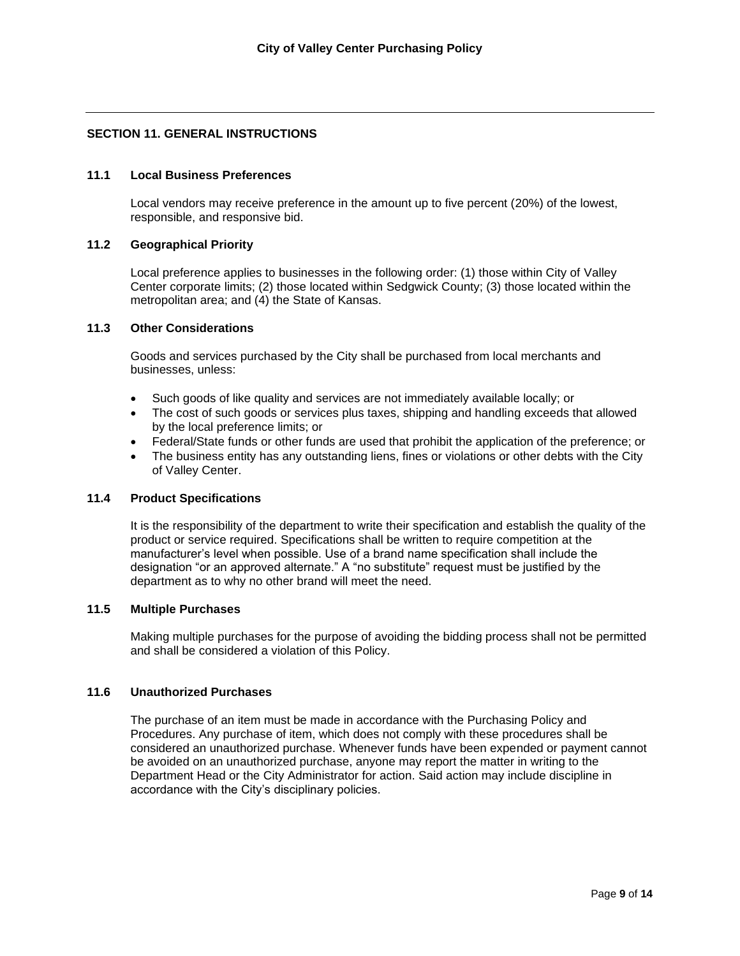# **SECTION 11. GENERAL INSTRUCTIONS**

## **11.1 Local Business Preferences**

Local vendors may receive preference in the amount up to five percent (20%) of the lowest, responsible, and responsive bid.

### **11.2 Geographical Priority**

Local preference applies to businesses in the following order: (1) those within City of Valley Center corporate limits; (2) those located within Sedgwick County; (3) those located within the metropolitan area; and (4) the State of Kansas.

# **11.3 Other Considerations**

Goods and services purchased by the City shall be purchased from local merchants and businesses, unless:

- Such goods of like quality and services are not immediately available locally; or
- The cost of such goods or services plus taxes, shipping and handling exceeds that allowed by the local preference limits; or
- Federal/State funds or other funds are used that prohibit the application of the preference; or
- The business entity has any outstanding liens, fines or violations or other debts with the City of Valley Center.

## **11.4 Product Specifications**

It is the responsibility of the department to write their specification and establish the quality of the product or service required. Specifications shall be written to require competition at the manufacturer's level when possible. Use of a brand name specification shall include the designation "or an approved alternate." A "no substitute" request must be justified by the department as to why no other brand will meet the need.

#### **11.5 Multiple Purchases**

Making multiple purchases for the purpose of avoiding the bidding process shall not be permitted and shall be considered a violation of this Policy.

#### **11.6 Unauthorized Purchases**

The purchase of an item must be made in accordance with the Purchasing Policy and Procedures. Any purchase of item, which does not comply with these procedures shall be considered an unauthorized purchase. Whenever funds have been expended or payment cannot be avoided on an unauthorized purchase, anyone may report the matter in writing to the Department Head or the City Administrator for action. Said action may include discipline in accordance with the City's disciplinary policies.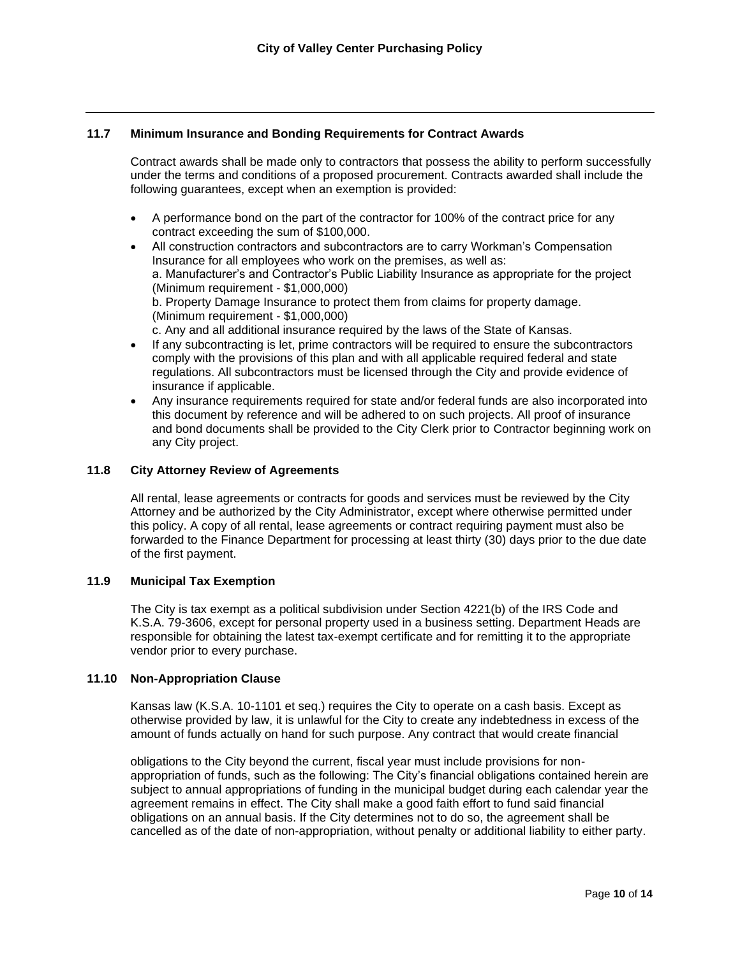### **11.7 Minimum Insurance and Bonding Requirements for Contract Awards**

Contract awards shall be made only to contractors that possess the ability to perform successfully under the terms and conditions of a proposed procurement. Contracts awarded shall include the following guarantees, except when an exemption is provided:

- A performance bond on the part of the contractor for 100% of the contract price for any contract exceeding the sum of \$100,000.
- All construction contractors and subcontractors are to carry Workman's Compensation Insurance for all employees who work on the premises, as well as: a. Manufacturer's and Contractor's Public Liability Insurance as appropriate for the project (Minimum requirement - \$1,000,000) b. Property Damage Insurance to protect them from claims for property damage. (Minimum requirement - \$1,000,000) c. Any and all additional insurance required by the laws of the State of Kansas.
- If any subcontracting is let, prime contractors will be required to ensure the subcontractors comply with the provisions of this plan and with all applicable required federal and state regulations. All subcontractors must be licensed through the City and provide evidence of insurance if applicable.
- Any insurance requirements required for state and/or federal funds are also incorporated into this document by reference and will be adhered to on such projects. All proof of insurance and bond documents shall be provided to the City Clerk prior to Contractor beginning work on any City project.

### **11.8 City Attorney Review of Agreements**

All rental, lease agreements or contracts for goods and services must be reviewed by the City Attorney and be authorized by the City Administrator, except where otherwise permitted under this policy. A copy of all rental, lease agreements or contract requiring payment must also be forwarded to the Finance Department for processing at least thirty (30) days prior to the due date of the first payment.

## **11.9 Municipal Tax Exemption**

The City is tax exempt as a political subdivision under Section 4221(b) of the IRS Code and K.S.A. 79-3606, except for personal property used in a business setting. Department Heads are responsible for obtaining the latest tax-exempt certificate and for remitting it to the appropriate vendor prior to every purchase.

#### **11.10 Non-Appropriation Clause**

Kansas law (K.S.A. 10-1101 et seq.) requires the City to operate on a cash basis. Except as otherwise provided by law, it is unlawful for the City to create any indebtedness in excess of the amount of funds actually on hand for such purpose. Any contract that would create financial

obligations to the City beyond the current, fiscal year must include provisions for nonappropriation of funds, such as the following: The City's financial obligations contained herein are subject to annual appropriations of funding in the municipal budget during each calendar year the agreement remains in effect. The City shall make a good faith effort to fund said financial obligations on an annual basis. If the City determines not to do so, the agreement shall be cancelled as of the date of non-appropriation, without penalty or additional liability to either party.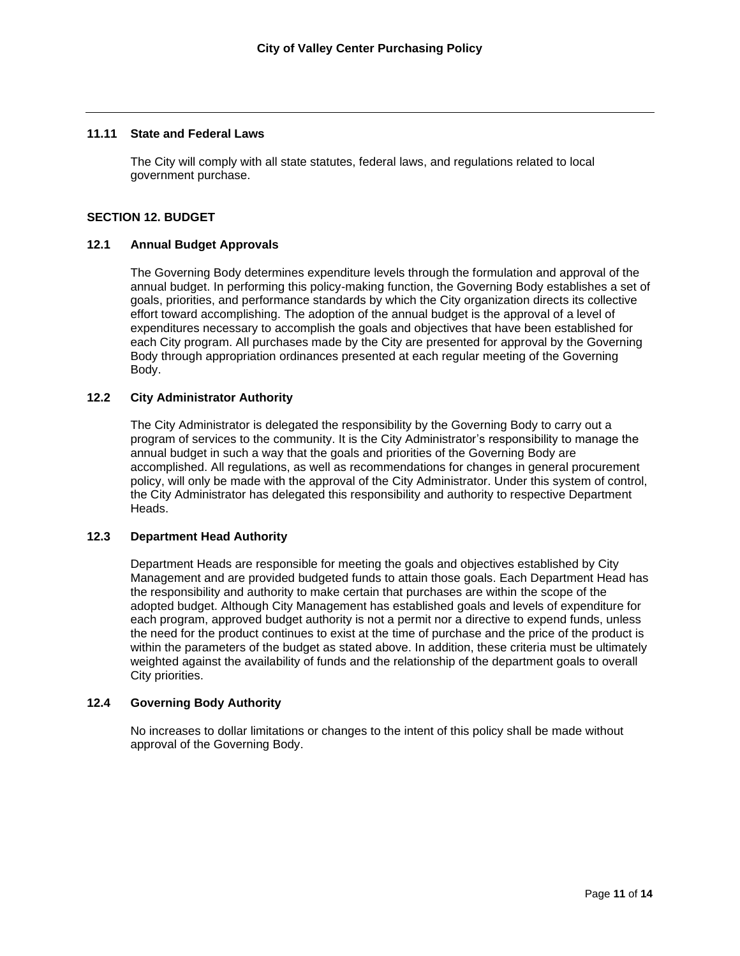### **11.11 State and Federal Laws**

The City will comply with all state statutes, federal laws, and regulations related to local government purchase.

### **SECTION 12. BUDGET**

### **12.1 Annual Budget Approvals**

The Governing Body determines expenditure levels through the formulation and approval of the annual budget. In performing this policy-making function, the Governing Body establishes a set of goals, priorities, and performance standards by which the City organization directs its collective effort toward accomplishing. The adoption of the annual budget is the approval of a level of expenditures necessary to accomplish the goals and objectives that have been established for each City program. All purchases made by the City are presented for approval by the Governing Body through appropriation ordinances presented at each regular meeting of the Governing Body.

# **12.2 City Administrator Authority**

The City Administrator is delegated the responsibility by the Governing Body to carry out a program of services to the community. It is the City Administrator's responsibility to manage the annual budget in such a way that the goals and priorities of the Governing Body are accomplished. All regulations, as well as recommendations for changes in general procurement policy, will only be made with the approval of the City Administrator. Under this system of control, the City Administrator has delegated this responsibility and authority to respective Department Heads.

### **12.3 Department Head Authority**

Department Heads are responsible for meeting the goals and objectives established by City Management and are provided budgeted funds to attain those goals. Each Department Head has the responsibility and authority to make certain that purchases are within the scope of the adopted budget. Although City Management has established goals and levels of expenditure for each program, approved budget authority is not a permit nor a directive to expend funds, unless the need for the product continues to exist at the time of purchase and the price of the product is within the parameters of the budget as stated above. In addition, these criteria must be ultimately weighted against the availability of funds and the relationship of the department goals to overall City priorities.

## **12.4 Governing Body Authority**

No increases to dollar limitations or changes to the intent of this policy shall be made without approval of the Governing Body.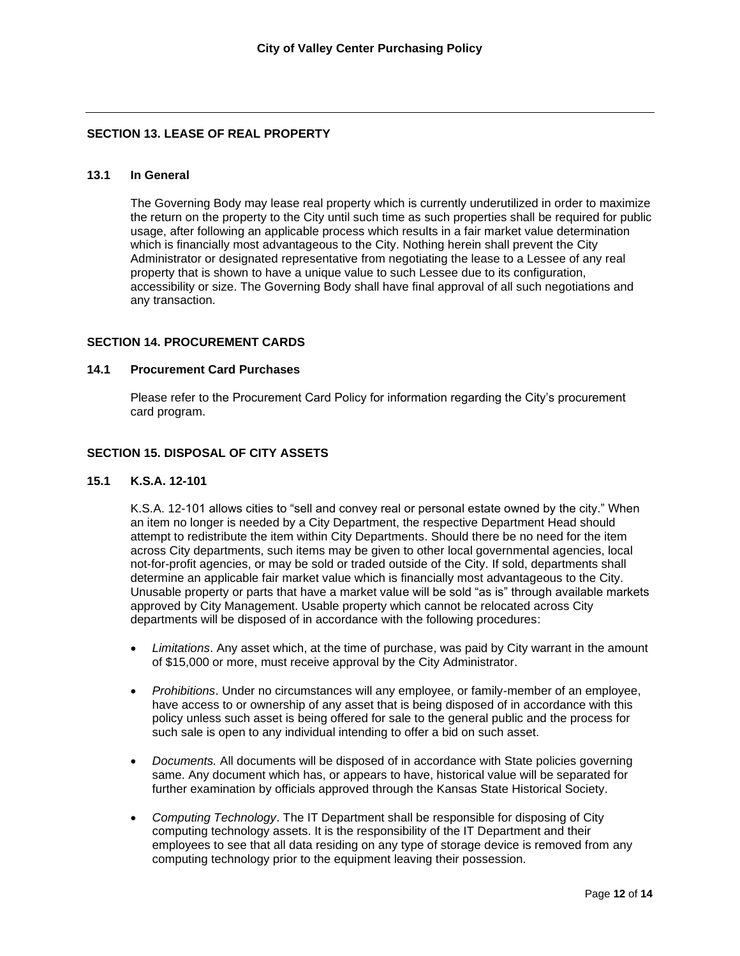# **SECTION 13. LEASE OF REAL PROPERTY**

## **13.1 In General**

The Governing Body may lease real property which is currently underutilized in order to maximize the return on the property to the City until such time as such properties shall be required for public usage, after following an applicable process which results in a fair market value determination which is financially most advantageous to the City. Nothing herein shall prevent the City Administrator or designated representative from negotiating the lease to a Lessee of any real property that is shown to have a unique value to such Lessee due to its configuration, accessibility or size. The Governing Body shall have final approval of all such negotiations and any transaction.

### **SECTION 14. PROCUREMENT CARDS**

#### **14.1 Procurement Card Purchases**

Please refer to the Procurement Card Policy for information regarding the City's procurement card program.

## **SECTION 15. DISPOSAL OF CITY ASSETS**

### **15.1 K.S.A. 12-101**

K.S.A. 12-101 allows cities to "sell and convey real or personal estate owned by the city." When an item no longer is needed by a City Department, the respective Department Head should attempt to redistribute the item within City Departments. Should there be no need for the item across City departments, such items may be given to other local governmental agencies, local not-for-profit agencies, or may be sold or traded outside of the City. If sold, departments shall determine an applicable fair market value which is financially most advantageous to the City. Unusable property or parts that have a market value will be sold "as is" through available markets approved by City Management. Usable property which cannot be relocated across City departments will be disposed of in accordance with the following procedures:

- *Limitations*. Any asset which, at the time of purchase, was paid by City warrant in the amount of \$15,000 or more, must receive approval by the City Administrator.
- *Prohibitions*. Under no circumstances will any employee, or family-member of an employee, have access to or ownership of any asset that is being disposed of in accordance with this policy unless such asset is being offered for sale to the general public and the process for such sale is open to any individual intending to offer a bid on such asset.
- *Documents.* All documents will be disposed of in accordance with State policies governing same. Any document which has, or appears to have, historical value will be separated for further examination by officials approved through the Kansas State Historical Society.
- *Computing Technology*. The IT Department shall be responsible for disposing of City computing technology assets. It is the responsibility of the IT Department and their employees to see that all data residing on any type of storage device is removed from any computing technology prior to the equipment leaving their possession.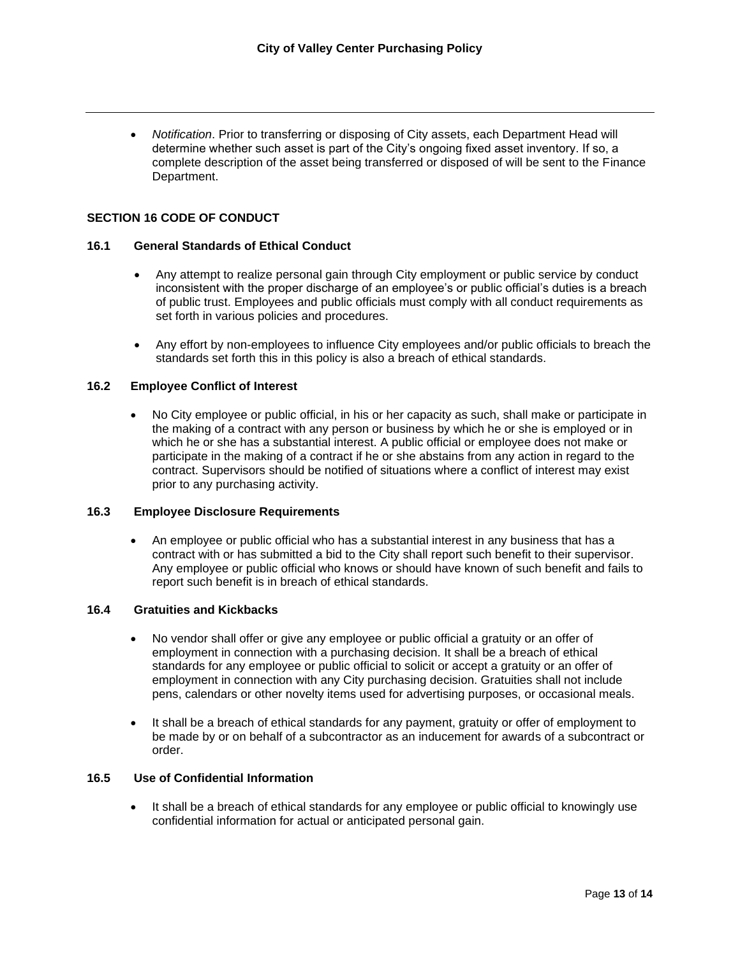• *Notification*. Prior to transferring or disposing of City assets, each Department Head will determine whether such asset is part of the City's ongoing fixed asset inventory. If so, a complete description of the asset being transferred or disposed of will be sent to the Finance Department.

### **SECTION 16 CODE OF CONDUCT**

#### **16.1 General Standards of Ethical Conduct**

- Any attempt to realize personal gain through City employment or public service by conduct inconsistent with the proper discharge of an employee's or public official's duties is a breach of public trust. Employees and public officials must comply with all conduct requirements as set forth in various policies and procedures.
- Any effort by non-employees to influence City employees and/or public officials to breach the standards set forth this in this policy is also a breach of ethical standards.

### **16.2 Employee Conflict of Interest**

• No City employee or public official, in his or her capacity as such, shall make or participate in the making of a contract with any person or business by which he or she is employed or in which he or she has a substantial interest. A public official or employee does not make or participate in the making of a contract if he or she abstains from any action in regard to the contract. Supervisors should be notified of situations where a conflict of interest may exist prior to any purchasing activity.

## **16.3 Employee Disclosure Requirements**

• An employee or public official who has a substantial interest in any business that has a contract with or has submitted a bid to the City shall report such benefit to their supervisor. Any employee or public official who knows or should have known of such benefit and fails to report such benefit is in breach of ethical standards.

#### **16.4 Gratuities and Kickbacks**

- No vendor shall offer or give any employee or public official a gratuity or an offer of employment in connection with a purchasing decision. It shall be a breach of ethical standards for any employee or public official to solicit or accept a gratuity or an offer of employment in connection with any City purchasing decision. Gratuities shall not include pens, calendars or other novelty items used for advertising purposes, or occasional meals.
- It shall be a breach of ethical standards for any payment, gratuity or offer of employment to be made by or on behalf of a subcontractor as an inducement for awards of a subcontract or order.

### **16.5 Use of Confidential Information**

It shall be a breach of ethical standards for any employee or public official to knowingly use confidential information for actual or anticipated personal gain.